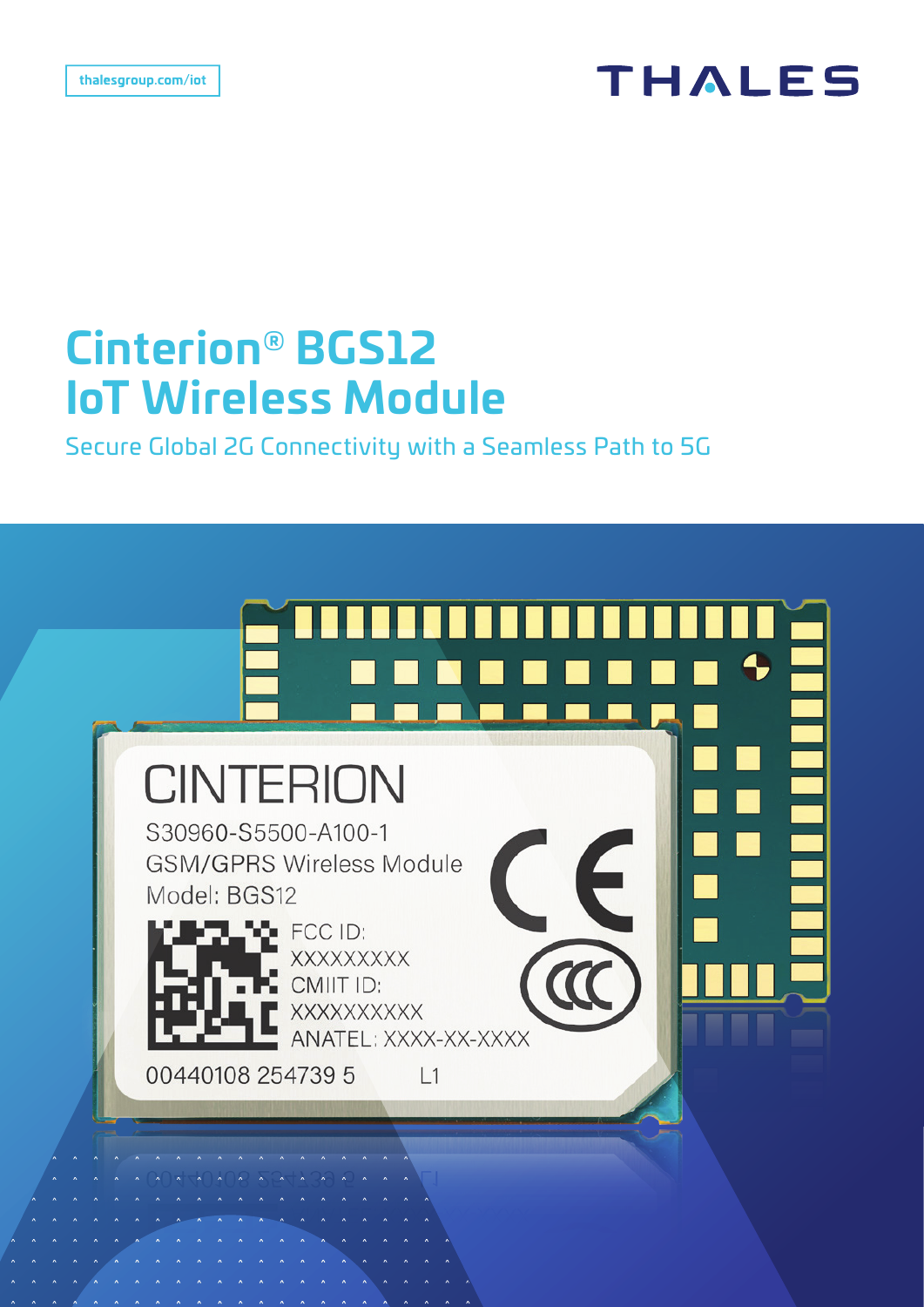## **THALES**

# **Cinterion® BGS12 IoT Wireless Module**

Secure Global 2G Connectivity with a Seamless Path to 5G

# **CINTERION** S30960-S5500-A100-1 **GSM/GPRS Wireless Module** Model: BGS12  $\blacktriangleright$  FCC ID: **XXXXXXXXX** CMIIT ID: XXXXXXXXXX ANATEL: XXXX-XX-XXXX 00440108 254739 5  $L1$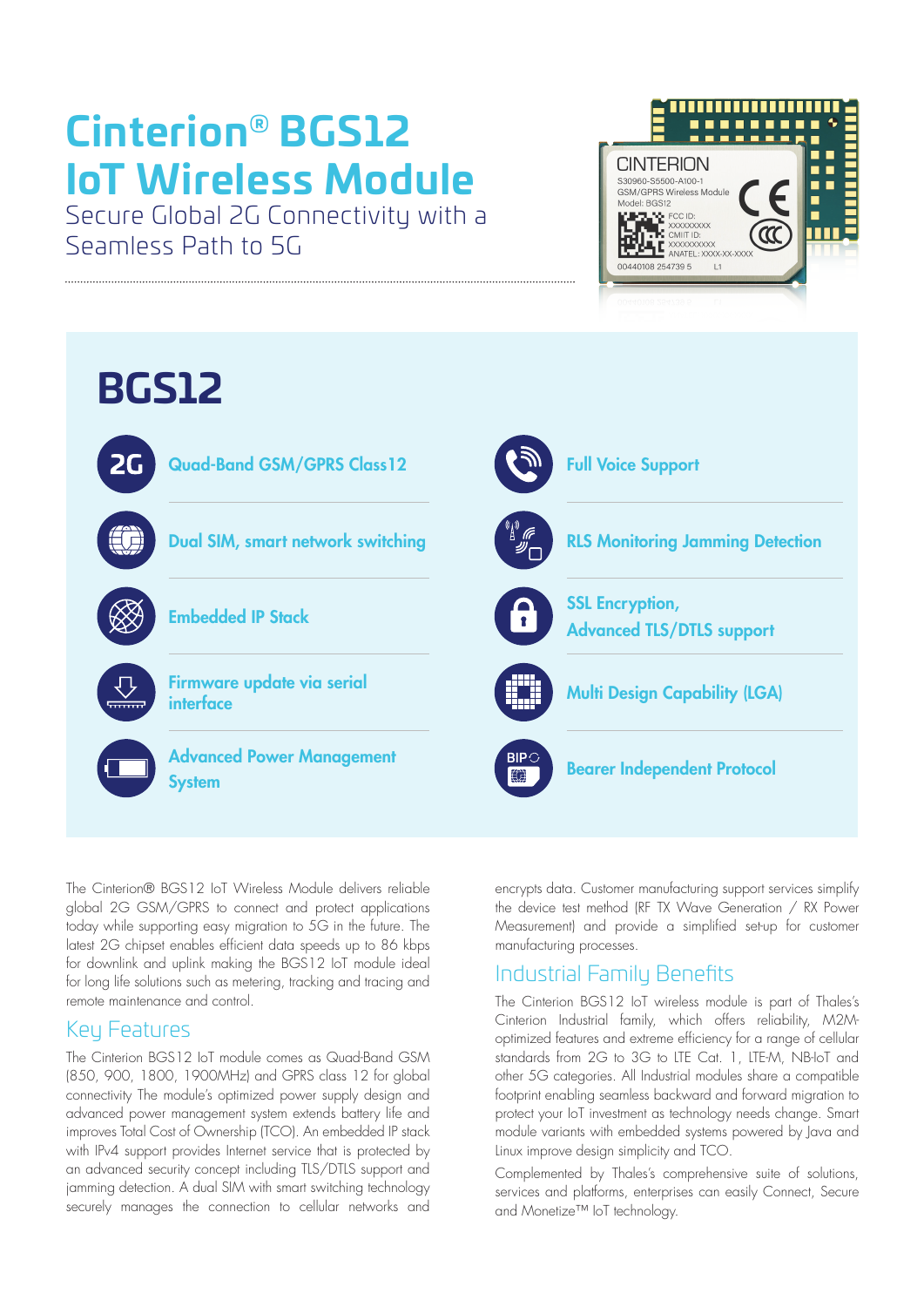# **Cinterion® BGS12 IoT Wireless Module**

Secure Global 2G Connectivity with a Seamless Path to 5G





The Cinterion® BGS12 IoT Wireless Module delivers reliable global 2G GSM/GPRS to connect and protect applications today while supporting easy migration to 5G in the future. The latest 2G chipset enables efficient data speeds up to 86 kbps for downlink and uplink making the BGS12 IoT module ideal for long life solutions such as metering, tracking and tracing and remote maintenance and control.

### Key Features

The Cinterion BGS12 IoT module comes as Quad-Band GSM (850, 900, 1800, 1900MHz) and GPRS class 12 for global connectivity The module's optimized power supply design and advanced power management system extends battery life and improves Total Cost of Ownership (TCO). An embedded IP stack with IPv4 support provides Internet service that is protected by an advanced security concept including TLS/DTLS support and jamming detection. A dual SIM with smart switching technology securely manages the connection to cellular networks and

encrypts data. Customer manufacturing support services simplify the device test method (RF TX Wave Generation / RX Power Measurement) and provide a simplified set-up for customer manufacturing processes.

### Industrial Family Benefits

The Cinterion BGS12 IoT wireless module is part of Thales's Cinterion Industrial family, which offers reliability, M2Moptimized features and extreme efficiency for a range of cellular standards from 2G to 3G to LTE Cat. 1, LTE-M, NB-IoT and other 5G categories. All Industrial modules share a compatible footprint enabling seamless backward and forward migration to protect your IoT investment as technology needs change. Smart module variants with embedded systems powered by Java and Linux improve design simplicity and TCO.

Complemented by Thales's comprehensive suite of solutions, services and platforms, enterprises can easily Connect, Secure and Monetize™ IoT technology.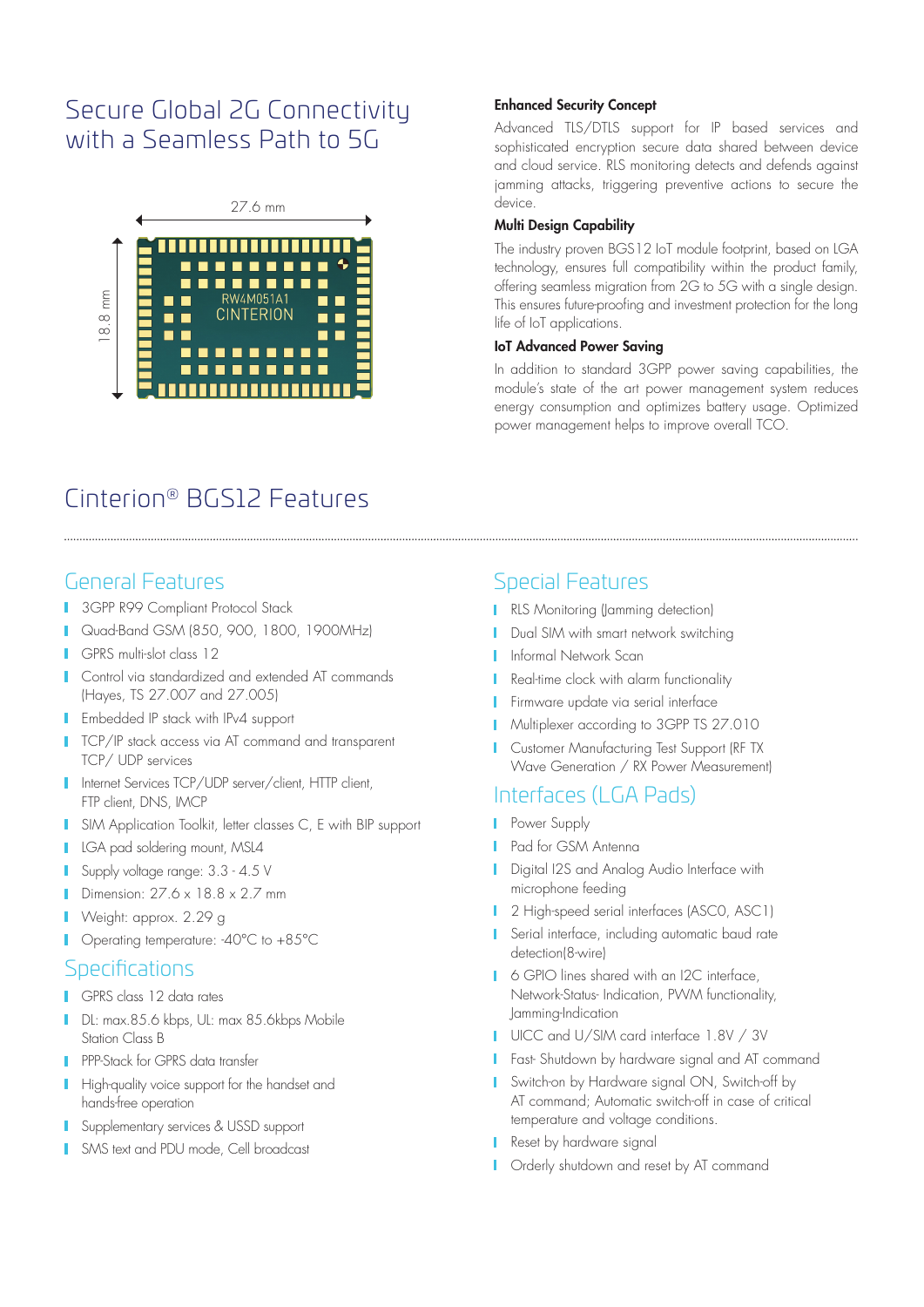## Secure Global 2G Connectivity with a Seamless Path to 5G



## Cinterion® BGS12 Features

### General Features

- 3GPP R99 Compliant Protocol Stack п
- Quad-Band GSM (850, 900, 1800, 1900MHz)
- GPRS multi-slot class 12
- **Control via standardized and extended AT commands** (Hayes, TS 27.007 and 27.005)
- **I** Embedded IP stack with IPv4 support
- **TCP/IP stack access via AT command and transparent** TCP/ UDP services
- Internet Services TCP/UDP server/client, HTTP client, FTP client, DNS, IMCP
- **I** SIM Application Toolkit, letter classes C, E with BIP support
- **LGA pad soldering mount, MSL4**
- Supply voltage range: 3.3 4.5 V
- Dimension:  $27.6 \times 18.8 \times 2.7$  mm
- Weight: approx. 2.29 g
- П Operating temperature: -40°C to +85°C

### **Specifications**

- GPRS class 12 data rates
- DL: max.85.6 kbps, UL: max 85.6kbps Mobile Station Class B
- **PPP-Stack for GPRS data transfer**
- High-quality voice support for the handset and hands-free operation
- **Supplementary services & USSD support**
- SMS text and PDU mode, Cell broadcast

#### Enhanced Security Concept

Advanced TLS/DTLS support for IP based services and sophisticated encryption secure data shared between device and cloud service. RLS monitoring detects and defends against jamming attacks, triggering preventive actions to secure the device.

#### Multi Design Capability

The industry proven BGS12 IoT module footprint, based on LGA technology, ensures full compatibility within the product family, offering seamless migration from 2G to 5G with a single design. This ensures future-proofing and investment protection for the long life of IoT applications.

#### IoT Advanced Power Saving

In addition to standard 3GPP power saving capabilities, the module's state of the art power management system reduces energy consumption and optimizes battery usage. Optimized power management helps to improve overall TCO.

### Special Features

- **RLS Monitoring (Jamming detection)**
- **Dual SIM with smart network switching**
- **I** Informal Network Scan
- Real-time clock with alarm functionality
- **Firmware update via serial interface**
- **Multiplexer according to 3GPP TS 27.010**
- **Customer Manufacturing Test Support (RF TX** Wave Generation / RX Power Measurement)

### Interfaces (LGA Pads)

- **Power Supply**
- **Pad for GSM Antenna**
- **Digital I2S and Analog Audio Interface with** microphone feeding
- 1 2 High-speed serial interfaces (ASCO, ASC1)
- Serial interface, including automatic baud rate detection(8-wire)
- 6 GPIO lines shared with an I2C interface, Network-Status- Indication, PWM functionality, Jamming-Indication
- UICC and U/SIM card interface 1.8V / 3V
- **Fast- Shutdown by hardware signal and AT command**
- Switch-on by Hardware signal ON, Switch-off by AT command; Automatic switch-off in case of critical temperature and voltage conditions.
- Reset by hardware signal
- **I** Orderly shutdown and reset by AT command